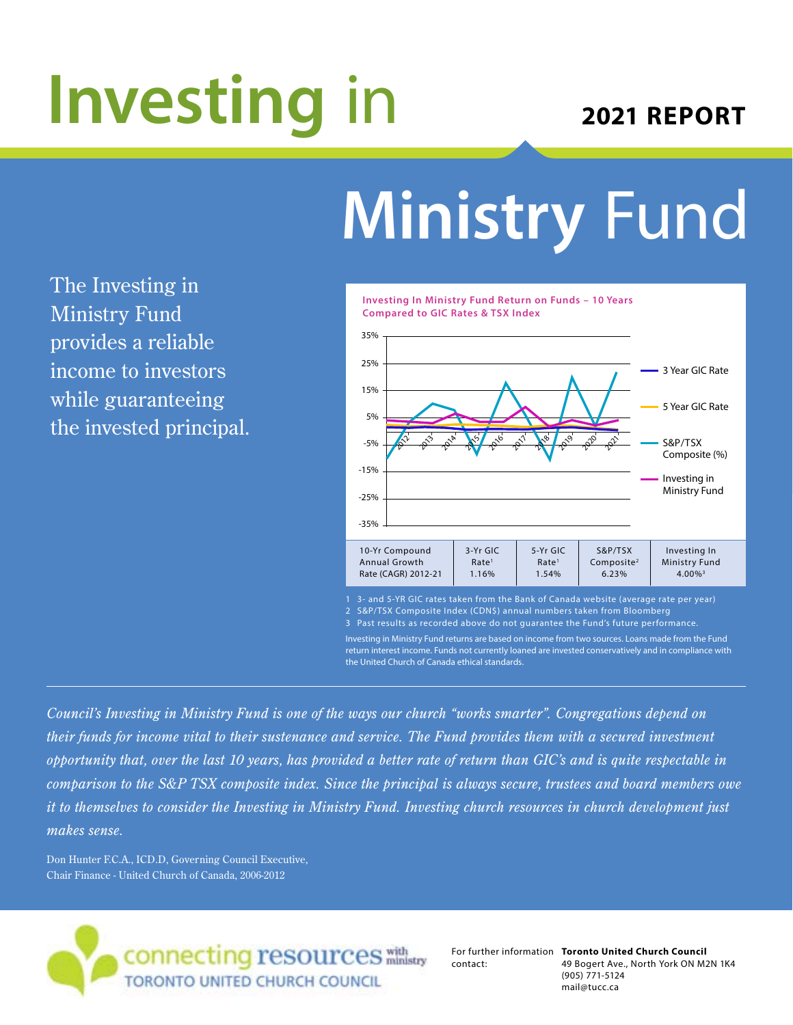# **Investing** in

### **2021 REPORT**

## **Ministry** Fund

The Investing in Ministry Fund provides a reliable income to investors while guaranteeing the invested principal.



Investing in Ministry Fund returns are based on income from two sources. Loans made from the Fund return interest income. Funds not currently loaned are invested conservatively and in compliance with the United Church of Canada ethical standards.

*Council's Investing in Ministry Fund is one of the ways our church "works smarter". Congregations depend on their funds for income vital to their sustenance and service. The Fund provides them with a secured investment opportunity that, over the last 10 years, has provided a better rate of return than GIC's and is quite respectable in comparison to the S&P TSX composite index. Since the principal is always secure, trustees and board members owe it to themselves to consider the Investing in Ministry Fund. Investing church resources in church development just makes sense.*

Don Hunter F.C.A., ICD.D, Governing Council Executive, Chair Finance - United Church of Canada, 2006-2012



contact:

For further information **Toronto United Church Council** 49 Bogert Ave., North York ON M2N 1K4 (905) 771-5124 mail@tucc.ca